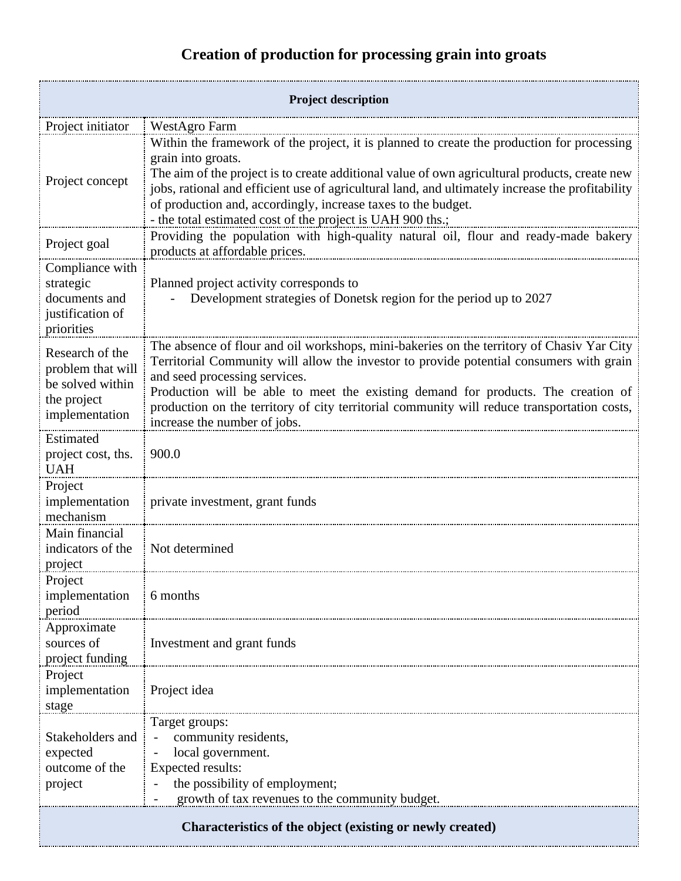## **Creation of production for processing grain into groats**

| <b>Project description</b>                                                                |                                                                                                                                                                                                                                                                                                                                                                                                                                                      |  |
|-------------------------------------------------------------------------------------------|------------------------------------------------------------------------------------------------------------------------------------------------------------------------------------------------------------------------------------------------------------------------------------------------------------------------------------------------------------------------------------------------------------------------------------------------------|--|
| Project initiator                                                                         | WestAgro Farm                                                                                                                                                                                                                                                                                                                                                                                                                                        |  |
| Project concept                                                                           | Within the framework of the project, it is planned to create the production for processing<br>grain into groats.<br>The aim of the project is to create additional value of own agricultural products, create new<br>jobs, rational and efficient use of agricultural land, and ultimately increase the profitability<br>of production and, accordingly, increase taxes to the budget.<br>- the total estimated cost of the project is UAH 900 ths.; |  |
| Project goal                                                                              | Providing the population with high-quality natural oil, flour and ready-made bakery<br>products at affordable prices.                                                                                                                                                                                                                                                                                                                                |  |
| Compliance with<br>strategic<br>documents and<br>justification of<br>priorities           | Planned project activity corresponds to<br>Development strategies of Donetsk region for the period up to 2027                                                                                                                                                                                                                                                                                                                                        |  |
| Research of the<br>problem that will<br>be solved within<br>the project<br>implementation | The absence of flour and oil workshops, mini-bakeries on the territory of Chasiv Yar City<br>Territorial Community will allow the investor to provide potential consumers with grain<br>and seed processing services.<br>Production will be able to meet the existing demand for products. The creation of<br>production on the territory of city territorial community will reduce transportation costs,<br>increase the number of jobs.            |  |
| Estimated<br>project cost, ths.<br><b>UAH</b>                                             | 900.0                                                                                                                                                                                                                                                                                                                                                                                                                                                |  |
| Project<br>implementation<br>mechanism                                                    | private investment, grant funds                                                                                                                                                                                                                                                                                                                                                                                                                      |  |
| Main financial<br>indicators of the<br>project                                            | Not determined                                                                                                                                                                                                                                                                                                                                                                                                                                       |  |
| Project<br>implementation<br>period                                                       | 6 months                                                                                                                                                                                                                                                                                                                                                                                                                                             |  |
| Approximate<br>sources of<br>project funding                                              | Investment and grant funds                                                                                                                                                                                                                                                                                                                                                                                                                           |  |
| Project<br>implementation<br>stage                                                        | Project idea                                                                                                                                                                                                                                                                                                                                                                                                                                         |  |
| Stakeholders and<br>expected<br>outcome of the<br>project                                 | Target groups:<br>community residents,<br>local government.<br>Expected results:<br>the possibility of employment;<br>growth of tax revenues to the community budget.                                                                                                                                                                                                                                                                                |  |
| Characteristics of the object (existing or newly created)                                 |                                                                                                                                                                                                                                                                                                                                                                                                                                                      |  |